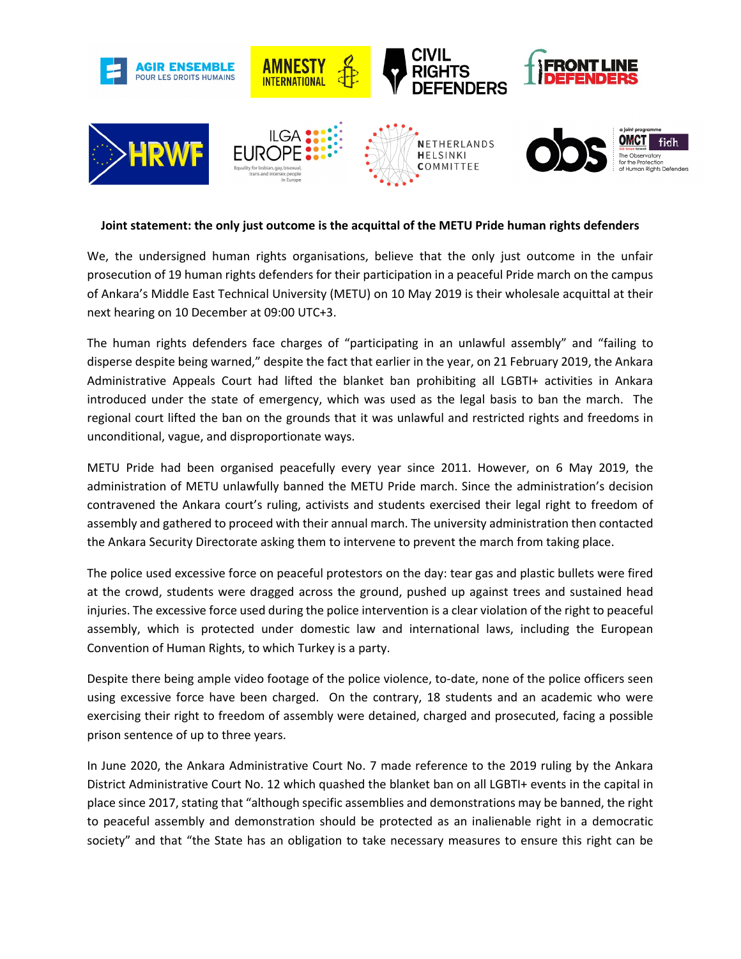

## **Joint statement: the only just outcome is the acquittal of the METU Pride human rights defenders**

We, the undersigned human rights organisations, believe that the only just outcome in the unfair prosecution of 19 human rights defenders for their participation in a peaceful Pride march on the campus of Ankara's Middle East Technical University (METU) on 10 May 2019 is their wholesale acquittal at their next hearing on 10 December at 09:00 UTC+3.

The human rights defenders face charges of "participating in an unlawful assembly" and "failing to disperse despite being warned," despite the fact that earlier in the year, on 21 February 2019, the Ankara Administrative Appeals Court had lifted the blanket ban prohibiting all LGBTI+ activities in Ankara introduced under the state of emergency, which was used as the legal basis to ban the march. The regional court lifted the ban on the grounds that it was unlawful and restricted rights and freedoms in unconditional, vague, and disproportionate ways.

METU Pride had been organised peacefully every year since 2011. However, on 6 May 2019, the administration of METU unlawfully banned the METU Pride march. Since the administration's decision contravened the Ankara court's ruling, activists and students exercised their legal right to freedom of assembly and gathered to proceed with their annual march. The university administration then contacted the Ankara Security Directorate asking them to intervene to prevent the march from taking place.

The police used excessive force on peaceful protestors on the day: tear gas and plastic bullets were fired at the crowd, students were dragged across the ground, pushed up against trees and sustained head injuries. The excessive force used during the police intervention is a clear violation of the right to peaceful assembly, which is protected under domestic law and international laws, including the European Convention of Human Rights, to which Turkey is a party.

Despite there being ample video footage of the police violence, to-date, none of the police officers seen using excessive force have been charged. On the contrary, 18 students and an academic who were exercising their right to freedom of assembly were detained, charged and prosecuted, facing a possible prison sentence of up to three years.

In June 2020, the Ankara Administrative Court No. 7 made reference to the 2019 ruling by the Ankara District Administrative Court No. 12 which quashed the blanket ban on all LGBTI+ events in the capital in place since 2017, stating that "although specific assemblies and demonstrations may be banned, the right to peaceful assembly and demonstration should be protected as an inalienable right in a democratic society" and that "the State has an obligation to take necessary measures to ensure this right can be